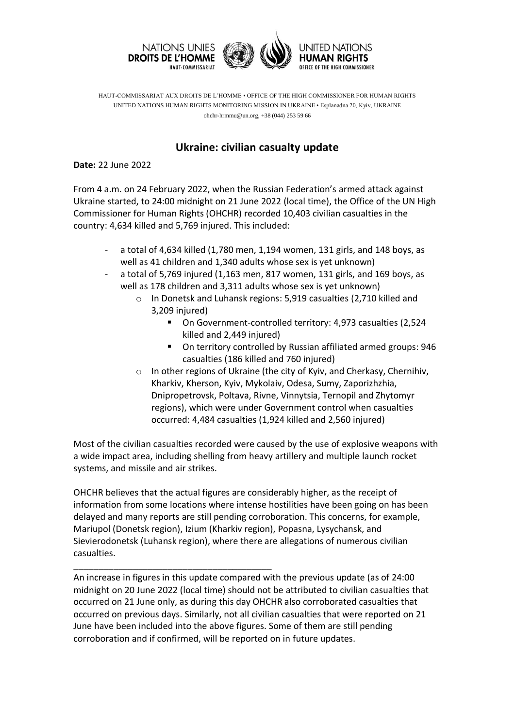

HAUT-COMMISSARIAT AUX DROITS DE L'HOMME • OFFICE OF THE HIGH COMMISSIONER FOR HUMAN RIGHTS UNITED NATIONS HUMAN RIGHTS MONITORING MISSION IN UKRAINE • Esplanadna 20, Kyiv, UKRAINE ohchr-hrmmu@un.org, +38 (044) 253 59 66

## **Ukraine: civilian casualty update**

**Date:** 22 June 2022

From 4 a.m. on 24 February 2022, when the Russian Federation's armed attack against Ukraine started, to 24:00 midnight on 21 June 2022 (local time), the Office of the UN High Commissioner for Human Rights (OHCHR) recorded 10,403 civilian casualties in the country: 4,634 killed and 5,769 injured. This included:

- a total of 4,634 killed (1,780 men, 1,194 women, 131 girls, and 148 boys, as well as 41 children and 1,340 adults whose sex is yet unknown)
- a total of 5,769 injured (1,163 men, 817 women, 131 girls, and 169 boys, as well as 178 children and 3,311 adults whose sex is yet unknown)
	- o In Donetsk and Luhansk regions: 5,919 casualties (2,710 killed and 3,209 injured)
		- On Government-controlled territory: 4,973 casualties (2,524 killed and 2,449 injured)
		- On territory controlled by Russian affiliated armed groups: 946 casualties (186 killed and 760 injured)
	- o In other regions of Ukraine (the city of Kyiv, and Cherkasy, Chernihiv, Kharkiv, Kherson, Kyiv, Mykolaiv, Odesa, Sumy, Zaporizhzhia, Dnipropetrovsk, Poltava, Rivne, Vinnytsia, Ternopil and Zhytomyr regions), which were under Government control when casualties occurred: 4,484 casualties (1,924 killed and 2,560 injured)

Most of the civilian casualties recorded were caused by the use of explosive weapons with a wide impact area, including shelling from heavy artillery and multiple launch rocket systems, and missile and air strikes.

OHCHR believes that the actual figures are considerably higher, as the receipt of information from some locations where intense hostilities have been going on has been delayed and many reports are still pending corroboration. This concerns, for example, Mariupol (Donetsk region), Izium (Kharkiv region), Popasna, Lysychansk, and Sievierodonetsk (Luhansk region), where there are allegations of numerous civilian casualties.

An increase in figures in this update compared with the previous update (as of 24:00 midnight on 20 June 2022 (local time) should not be attributed to civilian casualties that occurred on 21 June only, as during this day OHCHR also corroborated casualties that occurred on previous days. Similarly, not all civilian casualties that were reported on 21 June have been included into the above figures. Some of them are still pending corroboration and if confirmed, will be reported on in future updates.

\_\_\_\_\_\_\_\_\_\_\_\_\_\_\_\_\_\_\_\_\_\_\_\_\_\_\_\_\_\_\_\_\_\_\_\_\_\_\_\_